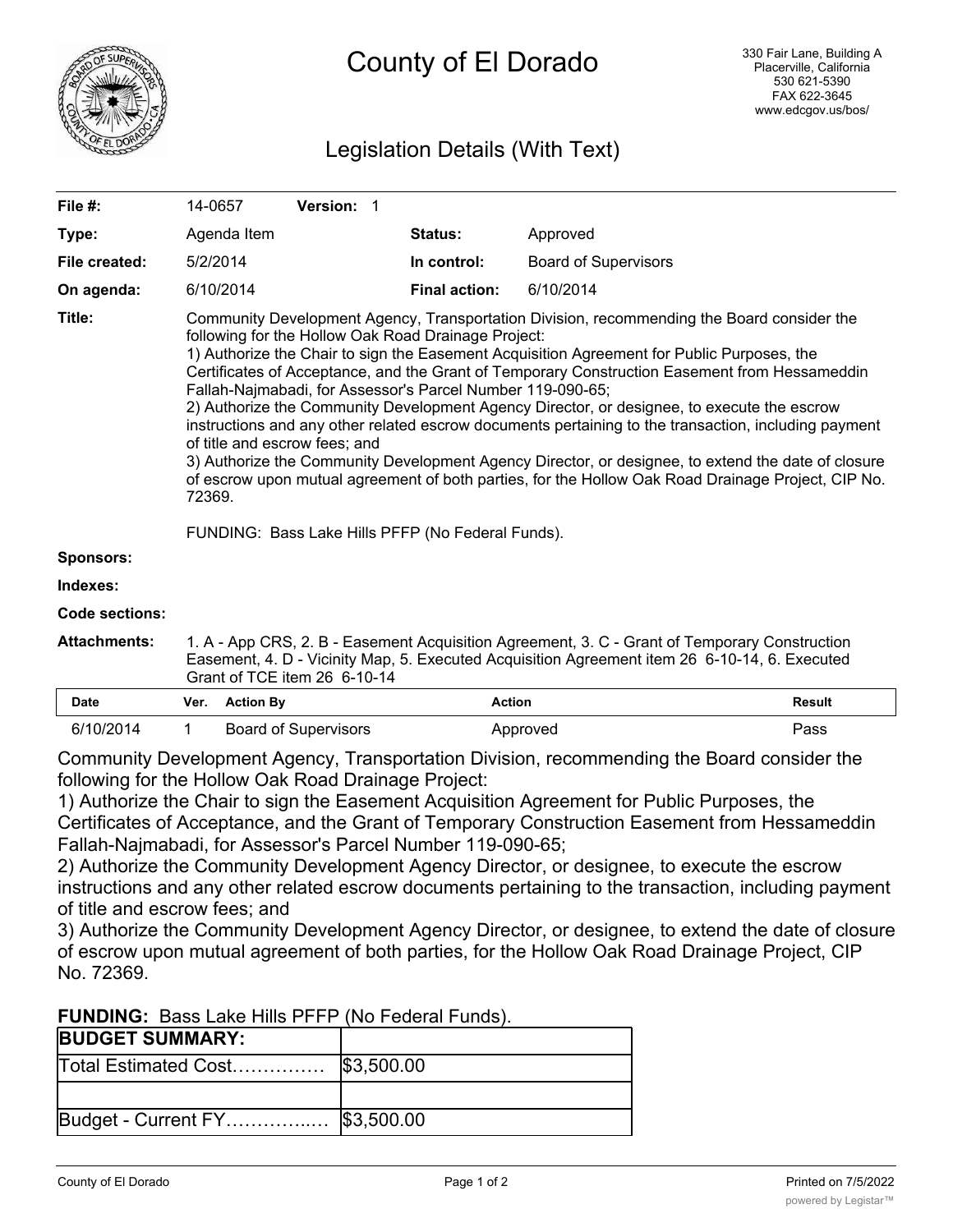

# Legislation Details (With Text)

| File $#$ :            | 14-0657                                                                                                                                                                                                                                                                                                                                                                                                                                                                                                                                                                                                                                                                                                                                                                                                                                                                                                                          |                  | Version: 1                  |                      |                             |               |
|-----------------------|----------------------------------------------------------------------------------------------------------------------------------------------------------------------------------------------------------------------------------------------------------------------------------------------------------------------------------------------------------------------------------------------------------------------------------------------------------------------------------------------------------------------------------------------------------------------------------------------------------------------------------------------------------------------------------------------------------------------------------------------------------------------------------------------------------------------------------------------------------------------------------------------------------------------------------|------------------|-----------------------------|----------------------|-----------------------------|---------------|
| Type:                 |                                                                                                                                                                                                                                                                                                                                                                                                                                                                                                                                                                                                                                                                                                                                                                                                                                                                                                                                  | Agenda Item      |                             | <b>Status:</b>       | Approved                    |               |
| File created:         |                                                                                                                                                                                                                                                                                                                                                                                                                                                                                                                                                                                                                                                                                                                                                                                                                                                                                                                                  | 5/2/2014         |                             | In control:          | <b>Board of Supervisors</b> |               |
| On agenda:            |                                                                                                                                                                                                                                                                                                                                                                                                                                                                                                                                                                                                                                                                                                                                                                                                                                                                                                                                  | 6/10/2014        |                             | <b>Final action:</b> | 6/10/2014                   |               |
| Title:                | Community Development Agency, Transportation Division, recommending the Board consider the<br>following for the Hollow Oak Road Drainage Project:<br>1) Authorize the Chair to sign the Easement Acquisition Agreement for Public Purposes, the<br>Certificates of Acceptance, and the Grant of Temporary Construction Easement from Hessameddin<br>Fallah-Najmabadi, for Assessor's Parcel Number 119-090-65;<br>2) Authorize the Community Development Agency Director, or designee, to execute the escrow<br>instructions and any other related escrow documents pertaining to the transaction, including payment<br>of title and escrow fees; and<br>3) Authorize the Community Development Agency Director, or designee, to extend the date of closure<br>of escrow upon mutual agreement of both parties, for the Hollow Oak Road Drainage Project, CIP No.<br>72369.<br>FUNDING: Bass Lake Hills PFFP (No Federal Funds). |                  |                             |                      |                             |               |
| Sponsors:             |                                                                                                                                                                                                                                                                                                                                                                                                                                                                                                                                                                                                                                                                                                                                                                                                                                                                                                                                  |                  |                             |                      |                             |               |
| Indexes:              |                                                                                                                                                                                                                                                                                                                                                                                                                                                                                                                                                                                                                                                                                                                                                                                                                                                                                                                                  |                  |                             |                      |                             |               |
| <b>Code sections:</b> |                                                                                                                                                                                                                                                                                                                                                                                                                                                                                                                                                                                                                                                                                                                                                                                                                                                                                                                                  |                  |                             |                      |                             |               |
| <b>Attachments:</b>   | 1. A - App CRS, 2. B - Easement Acquisition Agreement, 3. C - Grant of Temporary Construction<br>Easement, 4. D - Vicinity Map, 5. Executed Acquisition Agreement item 26 6-10-14, 6. Executed<br>Grant of TCE item 26 6-10-14                                                                                                                                                                                                                                                                                                                                                                                                                                                                                                                                                                                                                                                                                                   |                  |                             |                      |                             |               |
| <b>Date</b>           | Ver.                                                                                                                                                                                                                                                                                                                                                                                                                                                                                                                                                                                                                                                                                                                                                                                                                                                                                                                             | <b>Action By</b> |                             | <b>Action</b>        |                             | <b>Result</b> |
| 6/10/2014             | 1                                                                                                                                                                                                                                                                                                                                                                                                                                                                                                                                                                                                                                                                                                                                                                                                                                                                                                                                |                  | <b>Board of Supervisors</b> |                      | Approved                    | Pass          |

Community Development Agency, Transportation Division, recommending the Board consider the following for the Hollow Oak Road Drainage Project:

1) Authorize the Chair to sign the Easement Acquisition Agreement for Public Purposes, the Certificates of Acceptance, and the Grant of Temporary Construction Easement from Hessameddin Fallah-Najmabadi, for Assessor's Parcel Number 119-090-65;

2) Authorize the Community Development Agency Director, or designee, to execute the escrow instructions and any other related escrow documents pertaining to the transaction, including payment of title and escrow fees; and

3) Authorize the Community Development Agency Director, or designee, to extend the date of closure of escrow upon mutual agreement of both parties, for the Hollow Oak Road Drainage Project, CIP No. 72369.

**FUNDING:** Bass Lake Hills PFFP (No Federal Funds).

| <b>BUDGET SUMMARY:</b> |            |
|------------------------|------------|
| Total Estimated Cost   | \$3,500.00 |
|                        |            |
| Budget - Current FY    | \$3,500.00 |